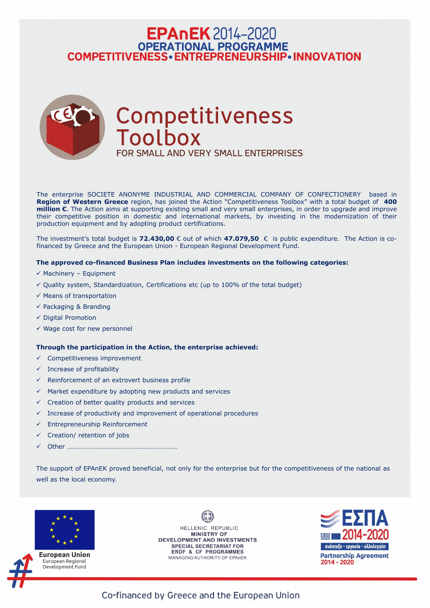## **EPAnEK** 2014-2020 OPERATIONAL PROGRAMME<br>COMPETITIVENESS • ENTREPRENEURSHIP • INNOVATION



The enterprise SOCIETE ANONYME INDUSTRIAL AND COMMERCIAL COMPANY OF CONFECTIONERY based in **Region of Western Greece** region, has joined the Action "Competitiveness Toolbox" with a total budget of **400 million €**. The Action aims at supporting existing small and very small enterprises, in order to upgrade and improve their competitive position in domestic and international markets, by investing in the modernization of their production equipment and by adopting product certifications.

The investment's total budget is **72.430,00** € out of which **47.079,50** € is public expenditure. The Action is cofinanced by Greece and the European Union - European Regional Development Fund.

- $\checkmark$  Competitiveness improvement
- $\checkmark$  Increase of profitability
- $\checkmark$  Reinforcement of an extrovert business profile
- $\checkmark$  Market expenditure by adopting new products and services
- $\checkmark$  Creation of better quality products and services
- $\checkmark$  Increase of productivity and improvement of operational procedures
- $\checkmark$  Entrepreneurship Reinforcement
- ✓ Creation/ retention of jobs
- ✓ Other …………………………………………………………

#### **The approved co-financed Business Plan includes investments on the following categories:**

- $\checkmark$  Machinery Equipment
- $\checkmark$  Quality system, Standardization, Certifications etc (up to 100% of the total budget)
- $\checkmark$  Means of transportation
- $\checkmark$  Packaging & Branding
- ✓ Digital Promotion
- $\checkmark$  Wage cost for new personnel

#### **Through the participation in the Action, the enterprise achieved:**

The support of EPAnEK proved beneficial, not only for the enterprise but for the competitiveness of the national as well as the local economy.





European Union European Regional Development Fund

HELLENIC REPUBLIC **MINISTRY OF** DEVELOPMENT AND INVESTMENTS **SPECIAL SECRETARIAT FOR ERDF & CF PROGRAMMES** MANAGING AUTHORITY OF EPAnEK



Co-financed by Greece and the European Union